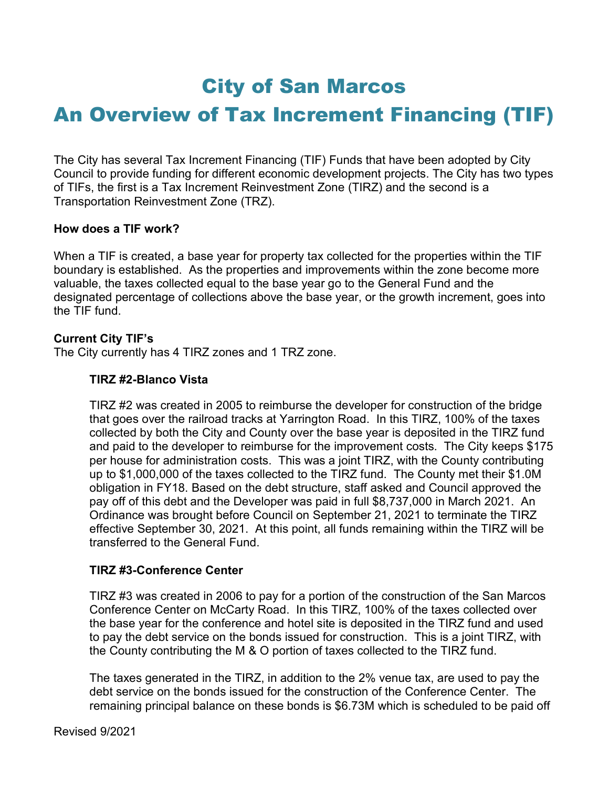# City of San Marcos

# An Overview of Tax Increment Financing (TIF)

The City has several Tax Increment Financing (TIF) Funds that have been adopted by City Council to provide funding for different economic development projects. The City has two types of TIFs, the first is a Tax Increment Reinvestment Zone (TIRZ) and the second is a Transportation Reinvestment Zone (TRZ).

#### How does a TIF work?

When a TIF is created, a base year for property tax collected for the properties within the TIF boundary is established. As the properties and improvements within the zone become more valuable, the taxes collected equal to the base year go to the General Fund and the designated percentage of collections above the base year, or the growth increment, goes into the TIF fund.

#### Current City TIF's

The City currently has 4 TIRZ zones and 1 TRZ zone.

#### TIRZ #2-Blanco Vista

TIRZ #2 was created in 2005 to reimburse the developer for construction of the bridge that goes over the railroad tracks at Yarrington Road. In this TIRZ, 100% of the taxes collected by both the City and County over the base year is deposited in the TIRZ fund and paid to the developer to reimburse for the improvement costs. The City keeps \$175 per house for administration costs. This was a joint TIRZ, with the County contributing up to \$1,000,000 of the taxes collected to the TIRZ fund. The County met their \$1.0M obligation in FY18. Based on the debt structure, staff asked and Council approved the pay off of this debt and the Developer was paid in full \$8,737,000 in March 2021. An Ordinance was brought before Council on September 21, 2021 to terminate the TIRZ effective September 30, 2021. At this point, all funds remaining within the TIRZ will be transferred to the General Fund.

#### TIRZ #3-Conference Center

TIRZ #3 was created in 2006 to pay for a portion of the construction of the San Marcos Conference Center on McCarty Road. In this TIRZ, 100% of the taxes collected over the base year for the conference and hotel site is deposited in the TIRZ fund and used to pay the debt service on the bonds issued for construction. This is a joint TIRZ, with the County contributing the M & O portion of taxes collected to the TIRZ fund.

The taxes generated in the TIRZ, in addition to the 2% venue tax, are used to pay the debt service on the bonds issued for the construction of the Conference Center. The remaining principal balance on these bonds is \$6.73M which is scheduled to be paid off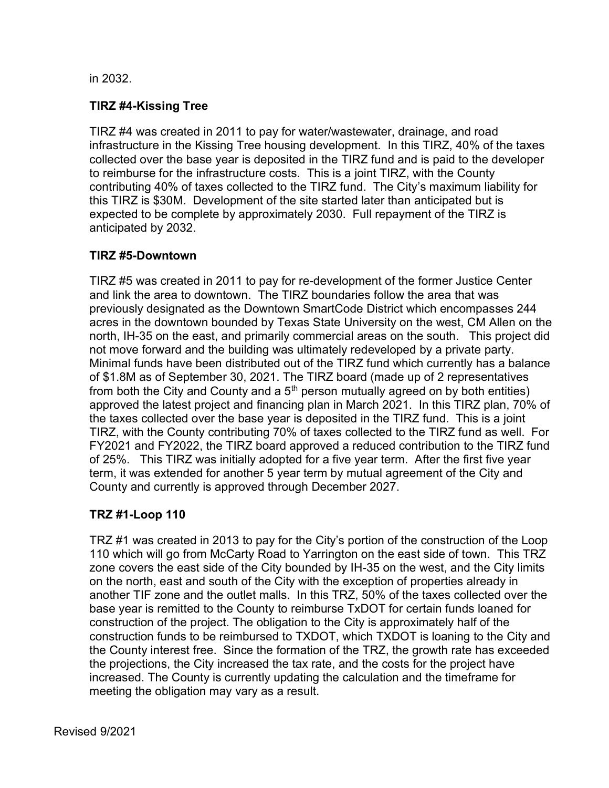#### in 2032.

## TIRZ #4-Kissing Tree

TIRZ #4 was created in 2011 to pay for water/wastewater, drainage, and road infrastructure in the Kissing Tree housing development. In this TIRZ, 40% of the taxes collected over the base year is deposited in the TIRZ fund and is paid to the developer to reimburse for the infrastructure costs. This is a joint TIRZ, with the County contributing 40% of taxes collected to the TIRZ fund. The City's maximum liability for this TIRZ is \$30M. Development of the site started later than anticipated but is expected to be complete by approximately 2030. Full repayment of the TIRZ is anticipated by 2032.

### TIRZ #5-Downtown

TIRZ #5 was created in 2011 to pay for re-development of the former Justice Center and link the area to downtown. The TIRZ boundaries follow the area that was previously designated as the Downtown SmartCode District which encompasses 244 acres in the downtown bounded by Texas State University on the west, CM Allen on the north, IH-35 on the east, and primarily commercial areas on the south. This project did not move forward and the building was ultimately redeveloped by a private party. Minimal funds have been distributed out of the TIRZ fund which currently has a balance of \$1.8M as of September 30, 2021. The TIRZ board (made up of 2 representatives from both the City and County and a  $5<sup>th</sup>$  person mutually agreed on by both entities) approved the latest project and financing plan in March 2021. In this TIRZ plan, 70% of the taxes collected over the base year is deposited in the TIRZ fund. This is a joint TIRZ, with the County contributing 70% of taxes collected to the TIRZ fund as well. For FY2021 and FY2022, the TIRZ board approved a reduced contribution to the TIRZ fund of 25%. This TIRZ was initially adopted for a five year term. After the first five year term, it was extended for another 5 year term by mutual agreement of the City and County and currently is approved through December 2027.

### TRZ #1-Loop 110

TRZ #1 was created in 2013 to pay for the City's portion of the construction of the Loop 110 which will go from McCarty Road to Yarrington on the east side of town. This TRZ zone covers the east side of the City bounded by IH-35 on the west, and the City limits on the north, east and south of the City with the exception of properties already in another TIF zone and the outlet malls. In this TRZ, 50% of the taxes collected over the base year is remitted to the County to reimburse TxDOT for certain funds loaned for construction of the project. The obligation to the City is approximately half of the construction funds to be reimbursed to TXDOT, which TXDOT is loaning to the City and the County interest free. Since the formation of the TRZ, the growth rate has exceeded the projections, the City increased the tax rate, and the costs for the project have increased. The County is currently updating the calculation and the timeframe for meeting the obligation may vary as a result.